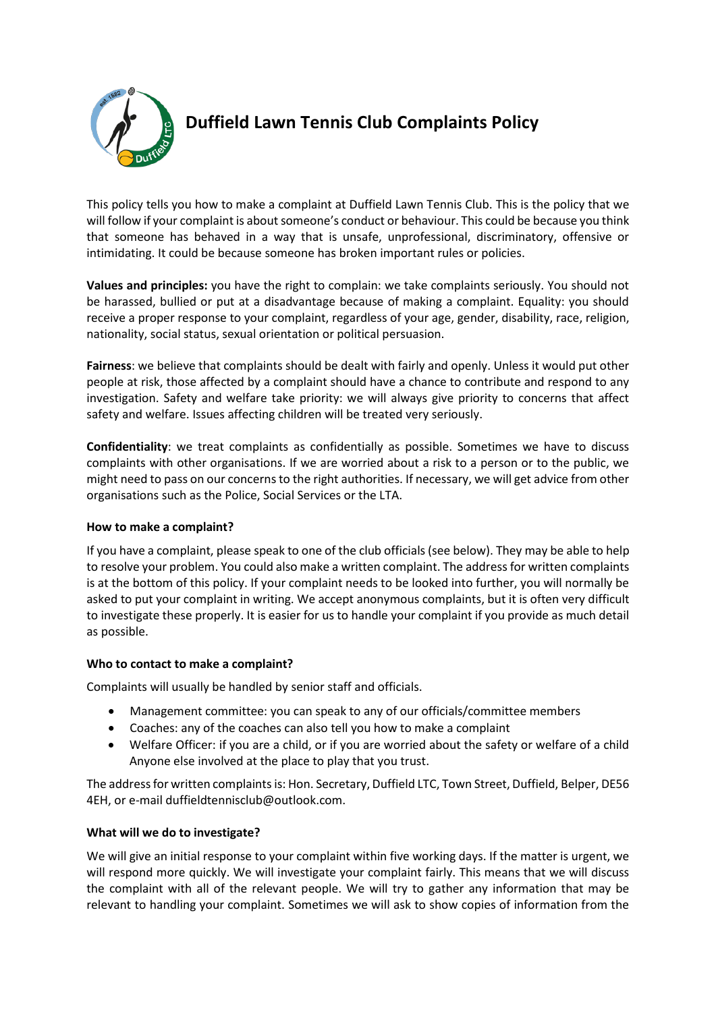

# **Duffield Lawn Tennis Club Complaints Policy**

This policy tells you how to make a complaint at Duffield Lawn Tennis Club. This is the policy that we will follow if your complaint is about someone's conduct or behaviour. This could be because you think that someone has behaved in a way that is unsafe, unprofessional, discriminatory, offensive or intimidating. It could be because someone has broken important rules or policies.

**Values and principles:** you have the right to complain: we take complaints seriously. You should not be harassed, bullied or put at a disadvantage because of making a complaint. Equality: you should receive a proper response to your complaint, regardless of your age, gender, disability, race, religion, nationality, social status, sexual orientation or political persuasion.

**Fairness**: we believe that complaints should be dealt with fairly and openly. Unless it would put other people at risk, those affected by a complaint should have a chance to contribute and respond to any investigation. Safety and welfare take priority: we will always give priority to concerns that affect safety and welfare. Issues affecting children will be treated very seriously.

**Confidentiality**: we treat complaints as confidentially as possible. Sometimes we have to discuss complaints with other organisations. If we are worried about a risk to a person or to the public, we might need to pass on our concerns to the right authorities. If necessary, we will get advice from other organisations such as the Police, Social Services or the LTA.

## **How to make a complaint?**

If you have a complaint, please speak to one of the club officials (see below). They may be able to help to resolve your problem. You could also make a written complaint. The address for written complaints is at the bottom of this policy. If your complaint needs to be looked into further, you will normally be asked to put your complaint in writing. We accept anonymous complaints, but it is often very difficult to investigate these properly. It is easier for us to handle your complaint if you provide as much detail as possible.

### **Who to contact to make a complaint?**

Complaints will usually be handled by senior staff and officials.

- Management committee: you can speak to any of our officials/committee members
- Coaches: any of the coaches can also tell you how to make a complaint
- Welfare Officer: if you are a child, or if you are worried about the safety or welfare of a child Anyone else involved at the place to play that you trust.

The address for written complaints is: Hon. Secretary, Duffield LTC, Town Street, Duffield, Belper, DE56 4EH, or e-mail duffieldtennisclub@outlook.com.

## **What will we do to investigate?**

We will give an initial response to your complaint within five working days. If the matter is urgent, we will respond more quickly. We will investigate your complaint fairly. This means that we will discuss the complaint with all of the relevant people. We will try to gather any information that may be relevant to handling your complaint. Sometimes we will ask to show copies of information from the